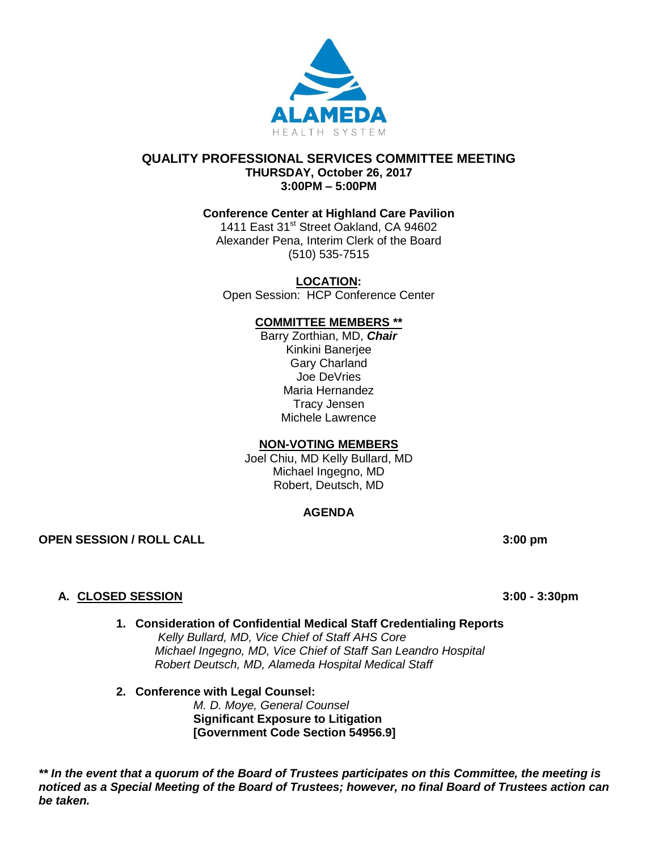

#### **QUALITY PROFESSIONAL SERVICES COMMITTEE MEETING THURSDAY, October 26, 2017 3:00PM – 5:00PM**

## **Conference Center at Highland Care Pavilion**

1411 East 31<sup>st</sup> Street Oakland, CA 94602 Alexander Pena, Interim Clerk of the Board (510) 535-7515

**LOCATION:** Open Session: HCP Conference Center

### **COMMITTEE MEMBERS \*\***

Barry Zorthian, MD, *Chair* Kinkini Banerjee Gary Charland Joe DeVries Maria Hernandez Tracy Jensen Michele Lawrence

#### **NON-VOTING MEMBERS**

Joel Chiu, MD Kelly Bullard, MD Michael Ingegno, MD Robert, Deutsch, MD

### **AGENDA**

**OPEN SESSION / ROLL CALL 3:00 pm**

### **A. CLOSED SESSION 3:00 - 3:30pm**

- **1. Consideration of Confidential Medical Staff Credentialing Reports**  *Kelly Bullard, MD, Vice Chief of Staff AHS Core Michael Ingegno, MD, Vice Chief of Staff San Leandro Hospital Robert Deutsch, MD, Alameda Hospital Medical Staff*
- **2. Conference with Legal Counsel:**  *M. D. Moye, General Counsel* **Significant Exposure to Litigation [Government Code Section 54956.9]**

*\*\* In the event that a quorum of the Board of Trustees participates on this Committee, the meeting is noticed as a Special Meeting of the Board of Trustees; however, no final Board of Trustees action can be taken.*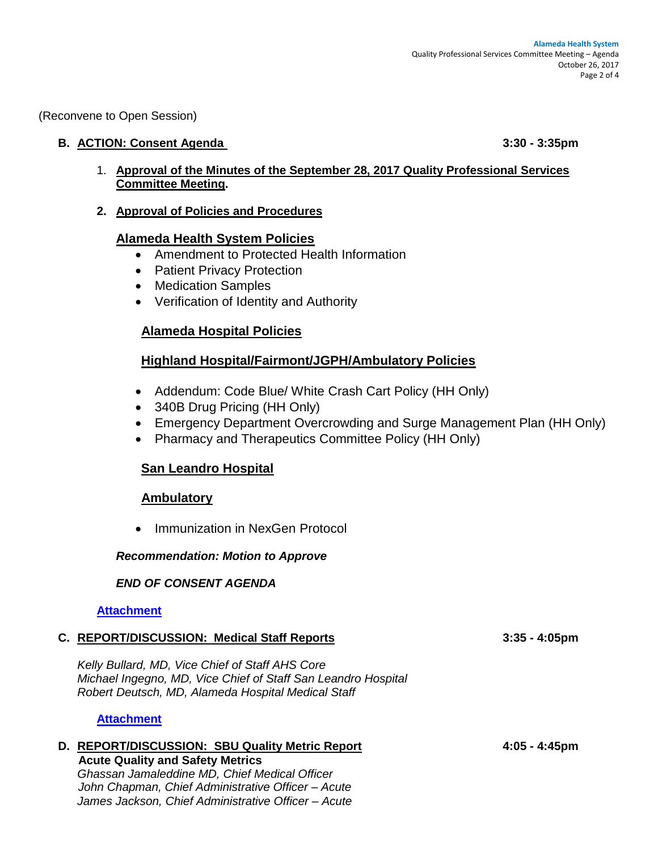(Reconvene to Open Session)

### **B. ACTION: Consent Agenda 3:30 - 3:35pm**

- 1. **Approval of the Minutes of the September 28, 2017 Quality Professional Services Committee Meeting.**
- **2. Approval of Policies and Procedures**

## **Alameda Health System Policies**

- Amendment to Protected Health Information
- Patient Privacy Protection
- Medication Samples
- Verification of Identity and Authority

# **Alameda Hospital Policies**

# **Highland Hospital/Fairmont/JGPH/Ambulatory Policies**

- Addendum: Code Blue/ White Crash Cart Policy (HH Only)
- 340B Drug Pricing (HH Only)
- Emergency Department Overcrowding and Surge Management Plan (HH Only)
- Pharmacy and Therapeutics Committee Policy (HH Only)

# **San Leandro Hospital**

### **Ambulatory**

• Immunization in NexGen Protocol

### *Recommendation: Motion to Approve*

### *END OF CONSENT AGENDA*

**[Attachment](http://www.alamedahealthsystem.org/wp-content/uploads/2017/10/Tab-B-1-2-QPSC.pdf)**

### **C. REPORT/DISCUSSION: Medical Staff Reports 3:35 - 4:05pm**

*Kelly Bullard, MD, Vice Chief of Staff AHS Core Michael Ingegno, MD, Vice Chief of Staff San Leandro Hospital Robert Deutsch, MD, Alameda Hospital Medical Staff*

#### **[Attachment](http://www.alamedahealthsystem.org/wp-content/uploads/2017/10/Tab-C-QPSC.pdf)**

#### **D. REPORT/DISCUSSION: SBU Quality Metric Report 4:05 - 4:45pm Acute Quality and Safety Metrics**

*Ghassan Jamaleddine MD, Chief Medical Officer John Chapman, Chief Administrative Officer – Acute James Jackson, Chief Administrative Officer – Acute*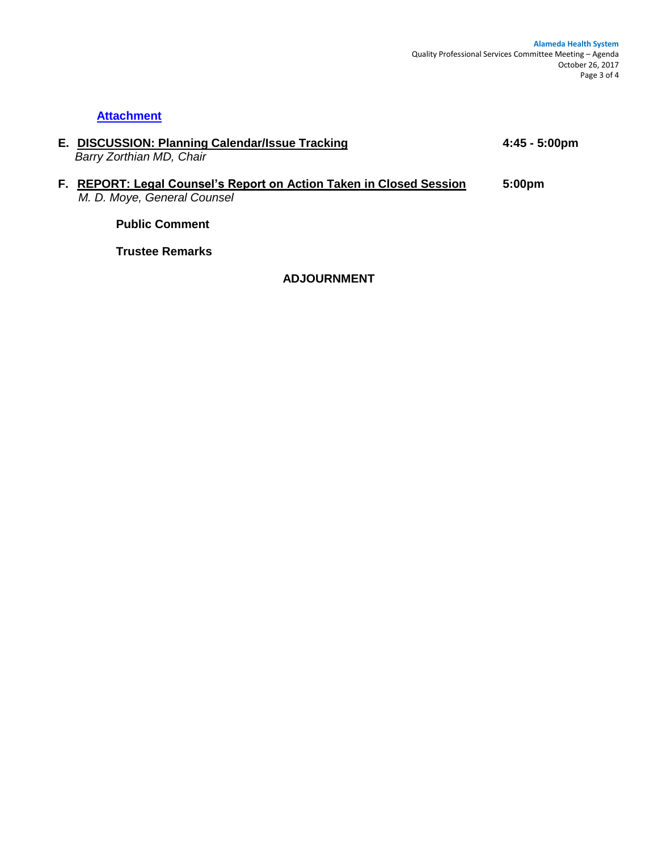# **[Attachment](http://www.alamedahealthsystem.org/wp-content/uploads/2017/10/Tab-D-QPSC.pdf)**

**E. DISCUSSION: Planning Calendar/Issue Tracking 4:45 - 5:00pm**  *Barry Zorthian MD, Chair*

### **F. REPORT: Legal Counsel's Report on Action Taken in Closed Session 5:00pm**  *M. D. Moye, General Counsel*

**Public Comment**

**Trustee Remarks**

**ADJOURNMENT**